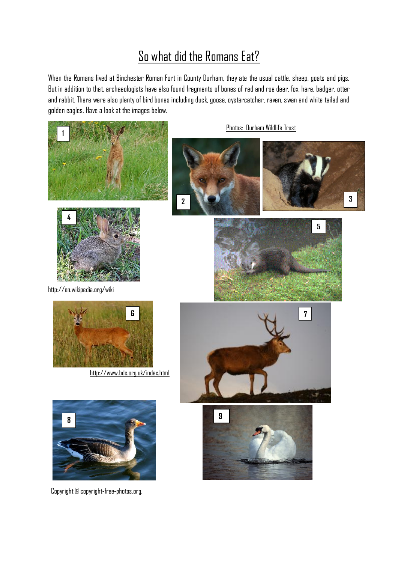# So what did the Romans Eat?

When the Romans lived at Binchester Roman Fort in County Durham, they ate the usual cattle, sheep, goats and pigs. But in addition to that, archaeologists have also found fragments of bones of red and roe deer, fox, hare, badger, otter and rabbit. There were also plenty of bird bones including duck, goose, oystercatcher, raven, swan and white tailed and golden eagles. Have a look at the images below.





http://en.wikipedia.org/wiki



<http://www.bds.org.uk/index.html>



Copyright © copyright-free-photos.org.

Photos: Durham Wildlife Trust









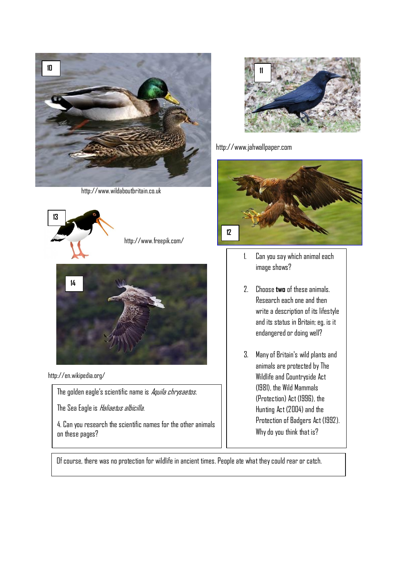

http://www.wildaboutbritain.co.uk





http://en.wikipedia.org/

The golden eagle's scientific name is Aquila chrysaetos.

The Sea Eagle is *Haliaetus albicilla*.

4. Can you research the scientific names for the other animals on these pages?



http://www.jahwallpaper.com



- 1. Can you say which animaleach image shows?
- 2. Choose **two** of these animals. Research each one and then write a description of its lifestyle and its status in Britain; eg, is it endangered or doing well?
- 3. Many of Britain's wild plants and animals are protected by The Wildlife and Countryside Act (1981), the Wild Mammals (Protection) Act (1996), the Hunting Act (2004) and the Protection of Badgers Act (1992). Why do you think that is?

Of course, there was no protection for wildlife in ancient times. People ate what they could rear or catch.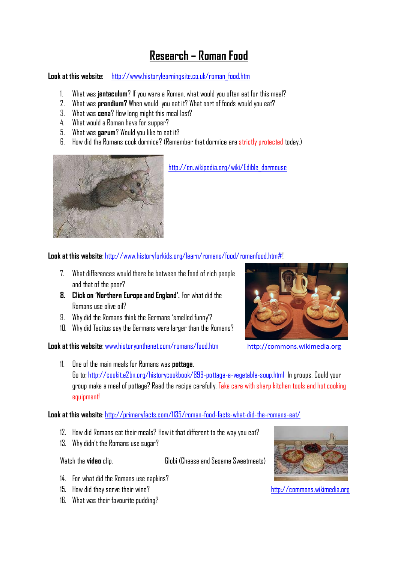## **Research – Roman Food**

**Look at this website:** [http://www.historylearningsite.co.uk/roman\\_food.htm](http://www.historylearningsite.co.uk/roman_food.htm)

- 1. What was **jentaculum**? If you were a Roman, what would you often eat for this meal?
- 2. What was **prandium?** When would you eat it? What sort of foods would you eat?
- 3. What was **cena**? How long might this meal last?
- 4. What would a Roman have for supper?
- 5. What was **garum**? Would you like to eat it?
- 6. How did the Romans cook dormice? (Remember that dormice are strictly protected today.)



[http://en.wikipedia.org/wiki/Edible\\_dormouse](http://en.wikipedia.org/wiki/Edible_dormouse)

**Look at this website**: [http://www.historyforkids.org/learn/romans/food/romanfood.htm#!](http://www.historyforkids.org/learn/romans/food/romanfood.htm)

- 7. What differences would there be between the food of rich people and that of the poor?
- **8. Click on 'Northern Europe and England'.** For what did the Romans use olive oil?
- 9. Why did the Romans think the Germans 'smelled funny'?
- 10. Why did Tacitus say the Germans were larger than the Romans?

Look at this website: [www.historyonthenet.com/romans/food.htm](http://www.historyonthenet.com/romans/food.htm) [http://commons.wikimedia.org](http://commons.wikimedia.org/)



11. One of the main meals for Romans was **pottage**. Go to:<http://cookit.e2bn.org/historycookbook/899-pottage-a-vegetable-soup.html> In groups, Could your group make a meal of pottage? Read the recipe carefully. Take care with sharp kitchen tools and hotcooking equipment!

#### **Look at this website**:<http://primaryfacts.com/1135/roman-food-facts-what-did-the-romans-eat/>

- 12. How did Romans eat their meals? How it that different to the way you eat?
- 13. Why didn't the Romans use sugar?

Watch the **video** clip. Globi (Cheese and Sesame Sweetmeats)

- 14. For what did the Romans use napkins?
- 15. How did they serve their wine? [http://commons.wikimedia.org](http://commons.wikimedia.org/)
- 16. What was their favourite pudding?